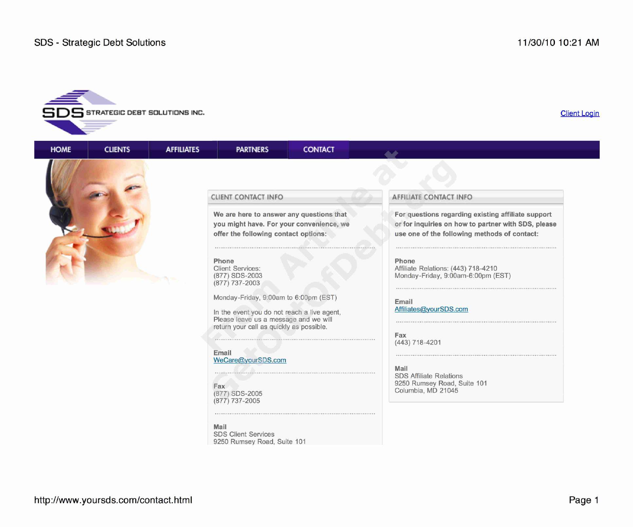



**PARTNERS** 

**CONTACT** 

# **Phone Phone**

(877) 737-2003

In the event you do not reach a live agent, Please leave us a message and we will return your call as quickly as possible.

**Email** We Care@yourSDS.com

(877) 737-2005

**Mail** SDS Client Services 9250 Rumsey Road, Suite 101

## **e' CLIENT CONTACT INFO AFFILIATE CONTACT INFO**

We are here to answer any questions that **For questions regarding existing affiliate support you might have. For your convenience, we or for inquiries on how to partner with SDS, please offer the following contact options: use one of the following methods of contact:**

Client Services: <br>
2003 Monday-Friday, 9:00am-6:00pm (E) Monday-Friday, 9:00am-6:00pm (E) Monday-Friday, 9:00am-6:00pm (EST)

Monday-Friday, 9:00am to 6:00pm (EST)<br> **Email**<br> **Email**<br>
Affiliates@yourSDS.com

**Fax** (443) 718-4201

**Mail** SDS Affiliate Relations **Fax** 9250 Rumsey Road, Suite 101 Columbia, MD 21045